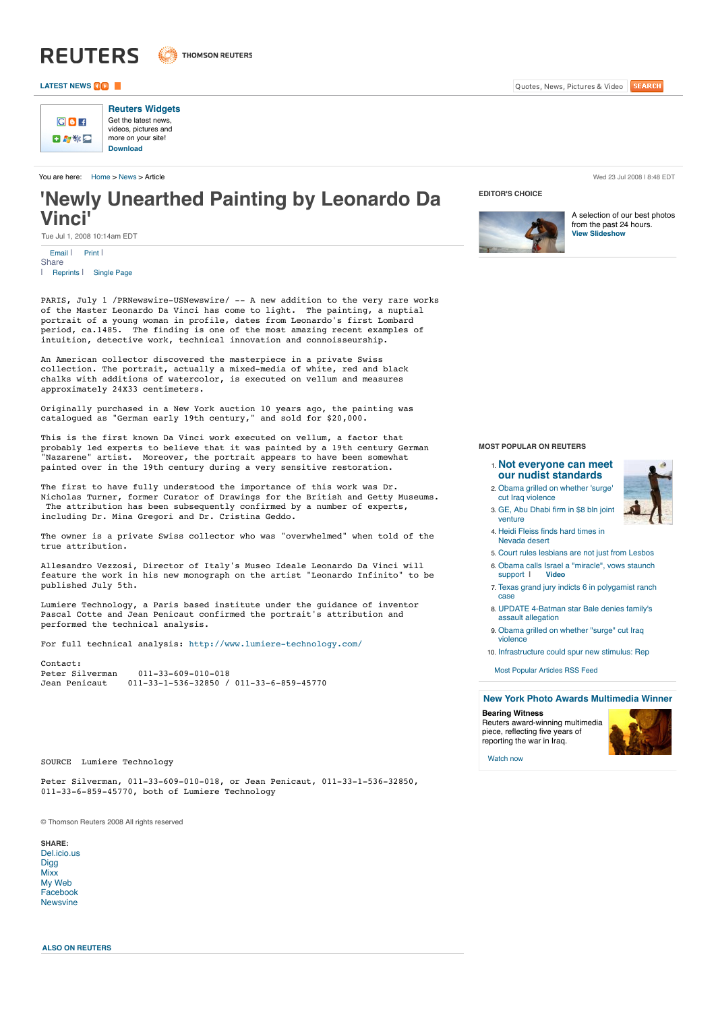

| Re          |
|-------------|
| Get<br>vide |
| mor         |
| Dov         |

**[Reuters Widgets](http://www.reuters.com/tools/widgets)** Get the latest news, videos, pictures and re on your site! **[Download](http://www.reuters.com/tools/widgets)**

You are here: [Home](http://www.reuters.com/home) > [News](http://www.reuters.com/news) > Article Wed 23 Jul 2008 | 8:48 EDT

# **'Newly Unearthed Painting by Leonardo Da Vinci'**

**THOMSON REUTERS** 

Tue Jul 1, 2008 10:14am EDT

[Email](javascript:commonPopup() | [Print](http://www.reuters.com/articlePrint?articleId=US144325+01-Jul-2008+PRN20080701) | **Share** | [Reprints](javascript:commonPopup() | [Single Page](javascript:singlePageView();)

PARIS, July 1 /PRNewswire-USNewswire/ -- A new addition to the very rare works of the Master Leonardo Da Vinci has come to light. The painting, a nuptial portrait of a young woman in profile, dates from Leonardo's first Lombard period, ca.1485. The finding is one of the most amazing recent examples of intuition, detective work, technical innovation and connoisseurship.

An American collector discovered the masterpiece in a private Swiss collection. The portrait, actually a mixed-media of white, red and black chalks with additions of watercolor, is executed on vellum and measures approximately 24X33 centimeters.

Originally purchased in a New York auction 10 years ago, the painting was catalogued as "German early 19th century," and sold for \$20,000.

This is the first known Da Vinci work executed on vellum, a factor that probably led experts to believe that it was painted by a 19th century German "Nazarene" artist. Moreover, the portrait appears to have been somewhat painted over in the 19th century during a very sensitive restoration.

The first to have fully understood the importance of this work was Dr. Nicholas Turner, former Curator of Drawings for the British and Getty Museums. The attribution has been subsequently confirmed by a number of experts, including Dr. Mina Gregori and Dr. Cristina Geddo.

The owner is a private Swiss collector who was "overwhelmed" when told of the true attribution.

Allesandro Vezzosi, Director of Italy's Museo Ideale Leonardo Da Vinci will feature the work in his new monograph on the artist "Leonardo Infinito" to be published July 5th.

Lumiere Technology, a Paris based institute under the guidance of inventor Pascal Cotte and Jean Penicaut confirmed the portrait's attribution and performed the technical analysis.

For full technical analysis:<http://www.lumiere-technology.com/>

Contact: Peter Silverman 011-33-609-010-018<br>Jean Penicaut 011-33-1-536-32850 /  $011-33-1-536-32850$  /  $011-33-6-859-45770$ 

## SOURCE Lumiere Technology

Peter Silverman, 011-33-609-010-018, or Jean Penicaut, 011-33-1-536-32850, 011-33-6-859-45770, both of Lumiere Technology

© Thomson Reuters 2008 All rights reserved

**SHARE:** [Del.icio.us](javascript:shareDelicious();) [Digg](javascript:shareDigg();) **[Mixx](javascript:shareMixx();)** [My Web](javascript:shareYahoo();) [Facebook](javascript:shareFacebook();) [Newsvine](javascript:shareNewsvine();)

# **EDITOR'S CHOICE**



A selection of our best photos from the past 24 hours. **[View Slideshow](javascript:commonPopup()**

**MOST POPULAR ON REUTERS**

- 1. **[Not everyone can meet](http://www.reuters.com/article/newsOne/idUSL2277107120080722) our nudist standards**
- 2. [Obama grilled on whether 'surge'](http://www.reuters.com/article/newsOne/idUSN22348775) cut Iraq violence
- 3. [GE, Abu Dhabi firm in \\$8 bln joint](http://www.reuters.com/article/newsOne/idUSN2219290620080722) venture
- 4. [Heidi Fleiss finds hard times in](http://www.reuters.com/article/newsOne/idUSN2142484320080722)
- Nevada desert
- 5. [Court rules lesbians are not just from Lesbos](http://www.reuters.com/article/newsOne/idUSN2231197820080722)
- 6. [Obama calls Israel a "miracle", vows staunch](http://www.reuters.com/article/newsOne/idUSL2341049720080723) support **| [Video](http://www.reuters.com/news/video?videoId=87591&newsChannel=wtMostRead)**
- 7. [Texas grand jury indicts 6 in polygamist ranch](http://www.reuters.com/article/newsOne/idUSN2235170720080723) case
- 8. [UPDATE 4-Batman star Bale denies family's](http://www.reuters.com/article/newsOne/idUSL22100459420080722) assault allegation
- 9. [Obama grilled on whether "surge" cut Iraq](http://www.reuters.com/article/newsOne/idUSN2234877520080723) violence
- 10. [Infrastructure could spur new stimulus: Rep](http://www.reuters.com/article/newsOne/idUSN2234393420080723)

[Most Popular Articles RSS Feed](http://feeds.reuters.com/reuters/MostRead)

### **[New York Photo Awards Multimedia Winner](http://iraq.reuters.com/)**

#### **Bearing Witness**

Reuters award-winning multimedia piece, reflecting five years of reporting the war in Iraq.



[Watch now](http://iraq.reuters.com/)

**[LATEST NEWS](http://www.reuters.com/news) CONSERVATION CONSERVATION CONSERVATION CONSERVATION CONSERVATION CONSERVATION CONSERVATION CONSERVATION** 

**[ALSO ON REUTERS](http://www.reuters.com/)**